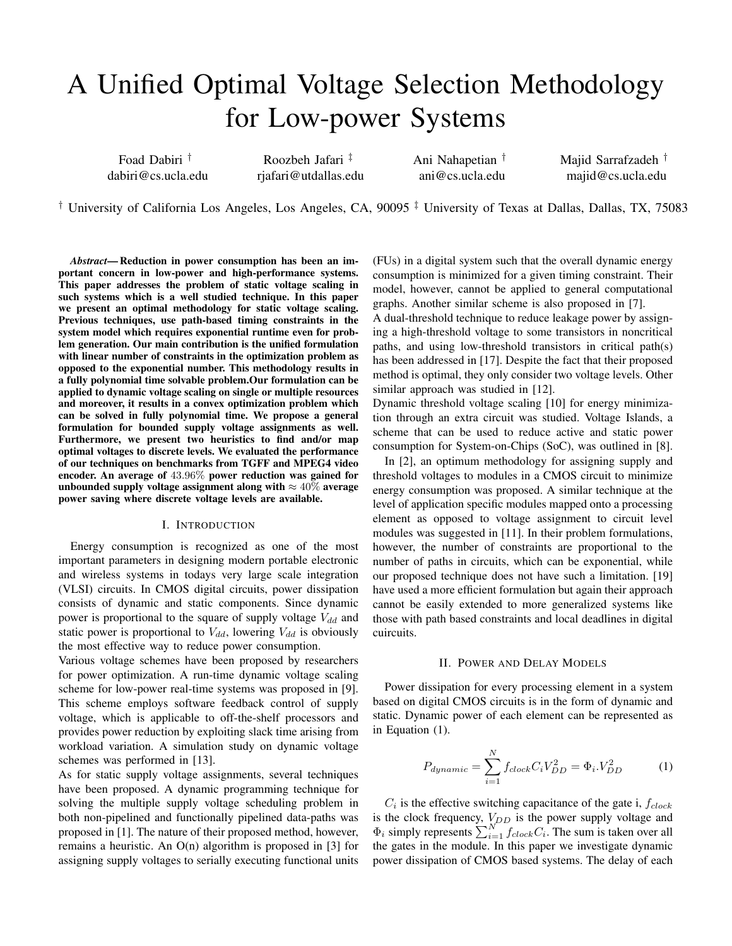# A Unified Optimal Voltage Selection Methodology for Low-power Systems

Foad Dabiri † dabiri@cs.ucla.edu

Roozbeh Jafari ‡ rjafari@utdallas.edu Ani Nahapetian † ani@cs.ucla.edu Majid Sarrafzadeh † majid@cs.ucla.edu

<sup>†</sup> University of California Los Angeles, Los Angeles, CA, 90095<sup> $\ddagger$ </sup> University of Texas at Dallas, Dallas, TX, 75083

*Abstract*— Reduction in power consumption has been an important concern in low-power and high-performance systems. This paper addresses the problem of static voltage scaling in such systems which is a well studied technique. In this paper we present an optimal methodology for static voltage scaling. Previous techniques, use path-based timing constraints in the system model which requires exponential runtime even for problem generation. Our main contribution is the unified formulation with linear number of constraints in the optimization problem as opposed to the exponential number. This methodology results in a fully polynomial time solvable problem.Our formulation can be applied to dynamic voltage scaling on single or multiple resources and moreover, it results in a convex optimization problem which can be solved in fully polynomial time. We propose a general formulation for bounded supply voltage assignments as well. Furthermore, we present two heuristics to find and/or map optimal voltages to discrete levels. We evaluated the performance of our techniques on benchmarks from TGFF and MPEG4 video encoder. An average of 43.96% power reduction was gained for unbounded supply voltage assignment along with  $\approx 40\%$  average power saving where discrete voltage levels are available.

## I. INTRODUCTION

Energy consumption is recognized as one of the most important parameters in designing modern portable electronic and wireless systems in todays very large scale integration (VLSI) circuits. In CMOS digital circuits, power dissipation consists of dynamic and static components. Since dynamic power is proportional to the square of supply voltage  $V_{dd}$  and static power is proportional to  $V_{dd}$ , lowering  $V_{dd}$  is obviously the most effective way to reduce power consumption.

Various voltage schemes have been proposed by researchers for power optimization. A run-time dynamic voltage scaling scheme for low-power real-time systems was proposed in [9]. This scheme employs software feedback control of supply voltage, which is applicable to off-the-shelf processors and provides power reduction by exploiting slack time arising from workload variation. A simulation study on dynamic voltage schemes was performed in [13].

As for static supply voltage assignments, several techniques have been proposed. A dynamic programming technique for solving the multiple supply voltage scheduling problem in both non-pipelined and functionally pipelined data-paths was proposed in [1]. The nature of their proposed method, however, remains a heuristic. An O(n) algorithm is proposed in [3] for assigning supply voltages to serially executing functional units

(FUs) in a digital system such that the overall dynamic energy consumption is minimized for a given timing constraint. Their model, however, cannot be applied to general computational graphs. Another similar scheme is also proposed in [7].

A dual-threshold technique to reduce leakage power by assigning a high-threshold voltage to some transistors in noncritical paths, and using low-threshold transistors in critical path(s) has been addressed in [17]. Despite the fact that their proposed method is optimal, they only consider two voltage levels. Other similar approach was studied in [12].

Dynamic threshold voltage scaling [10] for energy minimization through an extra circuit was studied. Voltage Islands, a scheme that can be used to reduce active and static power consumption for System-on-Chips (SoC), was outlined in [8].

In [2], an optimum methodology for assigning supply and threshold voltages to modules in a CMOS circuit to minimize energy consumption was proposed. A similar technique at the level of application specific modules mapped onto a processing element as opposed to voltage assignment to circuit level modules was suggested in [11]. In their problem formulations, however, the number of constraints are proportional to the number of paths in circuits, which can be exponential, while our proposed technique does not have such a limitation. [19] have used a more efficient formulation but again their approach cannot be easily extended to more generalized systems like those with path based constraints and local deadlines in digital cuircuits.

### II. POWER AND DELAY MODELS

Power dissipation for every processing element in a system based on digital CMOS circuits is in the form of dynamic and static. Dynamic power of each element can be represented as in Equation (1).

$$
P_{dynamic} = \sum_{i=1}^{N} f_{clock} C_i V_{DD}^2 = \Phi_i V_{DD}^2 \tag{1}
$$

 $C_i$  is the effective switching capacitance of the gate i,  $f_{clock}$ is the clock frequency,  $V_{DD}$  is the power supply voltage and  $\Phi_i$  simply represents  $\sum_{i=1}^{N} f_{clock} C_i$ . The sum is taken over all the gates in the module. In this paper we investigate dynamic power dissipation of CMOS based systems. The delay of each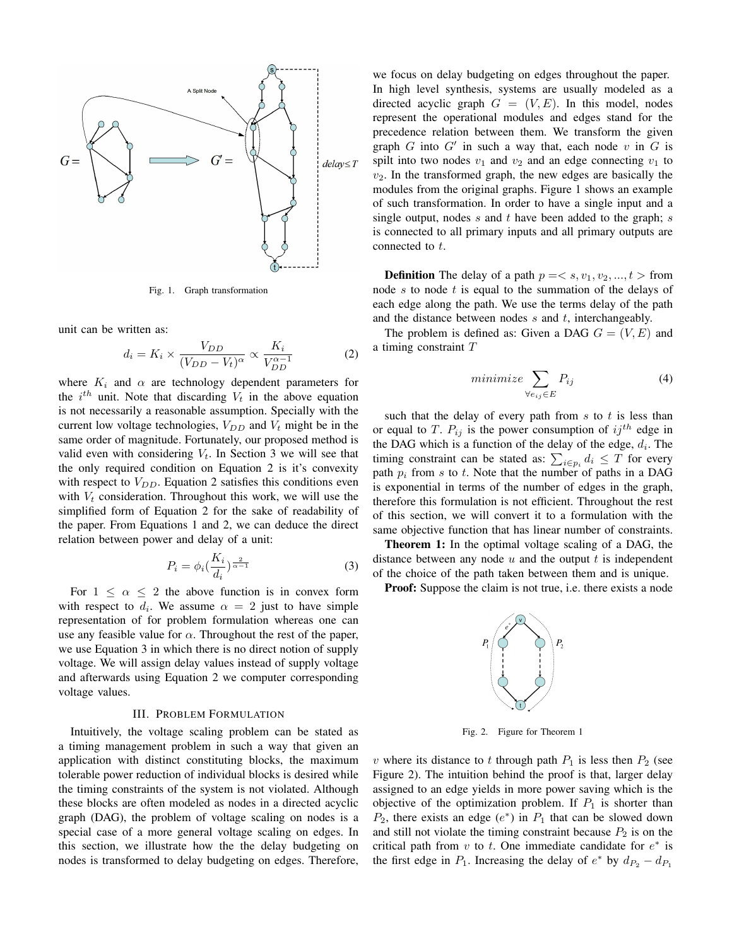

Fig. 1. Graph transformation

unit can be written as:

$$
d_i = K_i \times \frac{V_{DD}}{(V_{DD} - V_t)^{\alpha}} \propto \frac{K_i}{V_{DD}^{\alpha - 1}}
$$
 (2)

where  $K_i$  and  $\alpha$  are technology dependent parameters for the  $i^{th}$  unit. Note that discarding  $V_t$  in the above equation is not necessarily a reasonable assumption. Specially with the current low voltage technologies,  $V_{DD}$  and  $V_t$  might be in the same order of magnitude. Fortunately, our proposed method is valid even with considering  $V_t$ . In Section 3 we will see that the only required condition on Equation 2 is it's convexity with respect to  $V_{DD}$ . Equation 2 satisfies this conditions even with  $V_t$  consideration. Throughout this work, we will use the simplified form of Equation 2 for the sake of readability of the paper. From Equations 1 and 2, we can deduce the direct relation between power and delay of a unit:

$$
P_i = \phi_i \left(\frac{K_i}{d_i}\right)^{\frac{2}{\alpha - 1}}\tag{3}
$$

For  $1 \leq \alpha \leq 2$  the above function is in convex form with respect to  $d_i$ . We assume  $\alpha = 2$  just to have simple representation of for problem formulation whereas one can use any feasible value for  $\alpha$ . Throughout the rest of the paper, we use Equation 3 in which there is no direct notion of supply voltage. We will assign delay values instead of supply voltage and afterwards using Equation 2 we computer corresponding voltage values.

#### III. PROBLEM FORMULATION

Intuitively, the voltage scaling problem can be stated as a timing management problem in such a way that given an application with distinct constituting blocks, the maximum tolerable power reduction of individual blocks is desired while the timing constraints of the system is not violated. Although these blocks are often modeled as nodes in a directed acyclic graph (DAG), the problem of voltage scaling on nodes is a special case of a more general voltage scaling on edges. In this section, we illustrate how the the delay budgeting on nodes is transformed to delay budgeting on edges. Therefore,

we focus on delay budgeting on edges throughout the paper. In high level synthesis, systems are usually modeled as a directed acyclic graph  $G = (V, E)$ . In this model, nodes represent the operational modules and edges stand for the precedence relation between them. We transform the given graph  $G$  into  $G'$  in such a way that, each node  $v$  in  $G$  is spilt into two nodes  $v_1$  and  $v_2$  and an edge connecting  $v_1$  to  $v_2$ . In the transformed graph, the new edges are basically the modules from the original graphs. Figure 1 shows an example of such transformation. In order to have a single input and a single output, nodes  $s$  and  $t$  have been added to the graph;  $s$ is connected to all primary inputs and all primary outputs are connected to t.

**Definition** The delay of a path  $p = \langle s, v_1, v_2, ..., t \rangle$  from node s to node t is equal to the summation of the delays of each edge along the path. We use the terms delay of the path and the distance between nodes  $s$  and  $t$ , interchangeably.

The problem is defined as: Given a DAG  $G = (V, E)$  and a timing constraint T

$$
minimize \sum_{\forall e_{ij} \in E} P_{ij}
$$
 (4)

such that the delay of every path from  $s$  to  $t$  is less than or equal to T.  $P_{ij}$  is the power consumption of  $ij^{th}$  edge in the DAG which is a function of the delay of the edge,  $d_i$ . The timing constraint can be stated as:  $\sum_{i \in p_i} d_i \leq T$  for every path  $p_i$  from s to t. Note that the number of paths in a DAG is exponential in terms of the number of edges in the graph, therefore this formulation is not efficient. Throughout the rest of this section, we will convert it to a formulation with the same objective function that has linear number of constraints.

Theorem 1: In the optimal voltage scaling of a DAG, the distance between any node  $u$  and the output  $t$  is independent of the choice of the path taken between them and is unique.

Proof: Suppose the claim is not true, i.e. there exists a node



Fig. 2. Figure for Theorem 1

v where its distance to t through path  $P_1$  is less then  $P_2$  (see Figure 2). The intuition behind the proof is that, larger delay assigned to an edge yields in more power saving which is the objective of the optimization problem. If  $P_1$  is shorter than  $P_2$ , there exists an edge  $(e^*)$  in  $P_1$  that can be slowed down and still not violate the timing constraint because  $P_2$  is on the critical path from  $v$  to  $t$ . One immediate candidate for  $e^*$  is the first edge in  $P_1$ . Increasing the delay of  $e^*$  by  $d_{P_2} - d_{P_1}$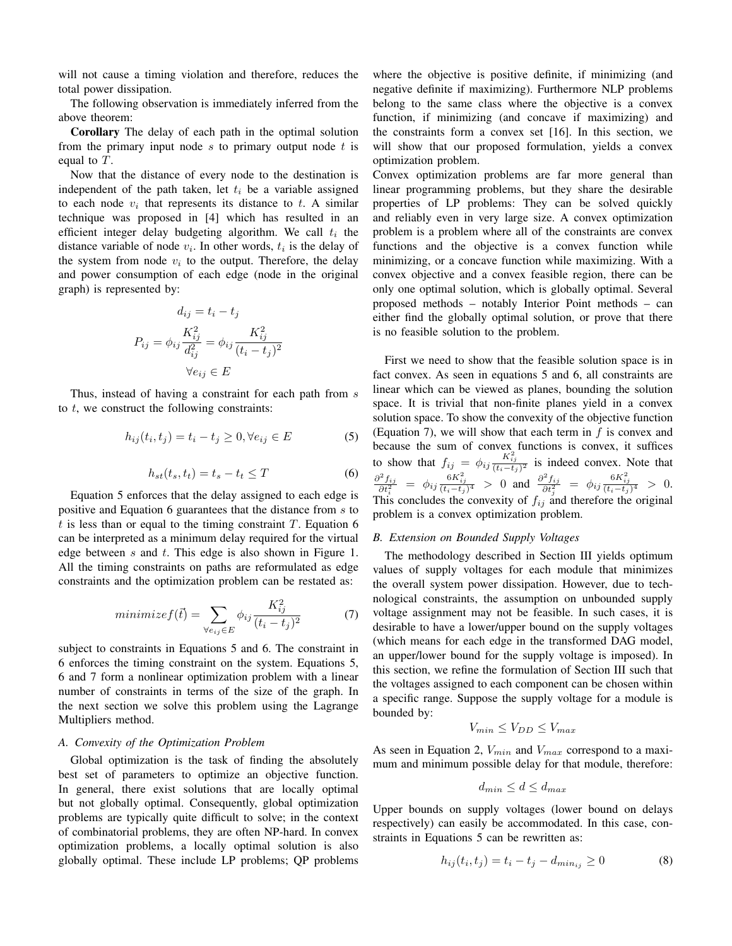will not cause a timing violation and therefore, reduces the total power dissipation.

The following observation is immediately inferred from the above theorem:

Corollary The delay of each path in the optimal solution from the primary input node  $s$  to primary output node  $t$  is equal to T.

Now that the distance of every node to the destination is independent of the path taken, let  $t_i$  be a variable assigned to each node  $v_i$  that represents its distance to t. A similar technique was proposed in [4] which has resulted in an efficient integer delay budgeting algorithm. We call  $t_i$  the distance variable of node  $v_i$ . In other words,  $t_i$  is the delay of the system from node  $v_i$  to the output. Therefore, the delay and power consumption of each edge (node in the original graph) is represented by:

$$
d_{ij} = t_i - t_j
$$
  

$$
P_{ij} = \phi_{ij} \frac{K_{ij}^2}{d_{ij}^2} = \phi_{ij} \frac{K_{ij}^2}{(t_i - t_j)^2}
$$
  

$$
\forall e_{ij} \in E
$$

Thus, instead of having a constraint for each path from  $s$ to  $t$ , we construct the following constraints:

$$
h_{ij}(t_i, t_j) = t_i - t_j \ge 0, \forall e_{ij} \in E \tag{5}
$$

$$
h_{st}(t_s, t_t) = t_s - t_t \le T \tag{6}
$$

Equation 5 enforces that the delay assigned to each edge is positive and Equation 6 guarantees that the distance from s to  $t$  is less than or equal to the timing constraint  $T$ . Equation 6 can be interpreted as a minimum delay required for the virtual edge between s and t. This edge is also shown in Figure 1. All the timing constraints on paths are reformulated as edge constraints and the optimization problem can be restated as:

$$
minimize f(\vec{t}) = \sum_{\forall e_{ij} \in E} \phi_{ij} \frac{K_{ij}^2}{(t_i - t_j)^2}
$$
(7)

subject to constraints in Equations 5 and 6. The constraint in 6 enforces the timing constraint on the system. Equations 5, 6 and 7 form a nonlinear optimization problem with a linear number of constraints in terms of the size of the graph. In the next section we solve this problem using the Lagrange Multipliers method.

## *A. Convexity of the Optimization Problem*

Global optimization is the task of finding the absolutely best set of parameters to optimize an objective function. In general, there exist solutions that are locally optimal but not globally optimal. Consequently, global optimization problems are typically quite difficult to solve; in the context of combinatorial problems, they are often NP-hard. In convex optimization problems, a locally optimal solution is also globally optimal. These include LP problems; QP problems where the objective is positive definite, if minimizing (and negative definite if maximizing). Furthermore NLP problems belong to the same class where the objective is a convex function, if minimizing (and concave if maximizing) and the constraints form a convex set [16]. In this section, we will show that our proposed formulation, yields a convex optimization problem.

Convex optimization problems are far more general than linear programming problems, but they share the desirable properties of LP problems: They can be solved quickly and reliably even in very large size. A convex optimization problem is a problem where all of the constraints are convex functions and the objective is a convex function while minimizing, or a concave function while maximizing. With a convex objective and a convex feasible region, there can be only one optimal solution, which is globally optimal. Several proposed methods – notably Interior Point methods – can either find the globally optimal solution, or prove that there is no feasible solution to the problem.

First we need to show that the feasible solution space is in fact convex. As seen in equations 5 and 6, all constraints are linear which can be viewed as planes, bounding the solution space. It is trivial that non-finite planes yield in a convex solution space. To show the convexity of the objective function (Equation 7), we will show that each term in  $f$  is convex and because the sum of convex functions is convex, it suffices to show that  $f_{ij} = \phi_{ij} \frac{K_{ij}^2}{(t_i - t_j)^2}$  is indeed convex. Note that  $\frac{\partial^2 f_{ij}}{\partial t_i^2} = \phi_{ij} \frac{6K_{ij}^2}{(t_i-t_j)^4} > 0$  and  $\frac{\partial^2 f_{ij}}{\partial t_j^2} = \phi_{ij} \frac{6K_{ij}^2}{(t_i-t_j)^4} > 0$ . This concludes the convexity of  $f_{ij}$  and therefore the original problem is a convex optimization problem.

## *B. Extension on Bounded Supply Voltages*

The methodology described in Section III yields optimum values of supply voltages for each module that minimizes the overall system power dissipation. However, due to technological constraints, the assumption on unbounded supply voltage assignment may not be feasible. In such cases, it is desirable to have a lower/upper bound on the supply voltages (which means for each edge in the transformed DAG model, an upper/lower bound for the supply voltage is imposed). In this section, we refine the formulation of Section III such that the voltages assigned to each component can be chosen within a specific range. Suppose the supply voltage for a module is bounded by:

$$
V_{min} \le V_{DD} \le V_{max}
$$

As seen in Equation 2,  $V_{min}$  and  $V_{max}$  correspond to a maximum and minimum possible delay for that module, therefore:

$$
d_{min} \le d \le d_{max}
$$

Upper bounds on supply voltages (lower bound on delays respectively) can easily be accommodated. In this case, constraints in Equations 5 can be rewritten as:

$$
h_{ij}(t_i, t_j) = t_i - t_j - d_{min_{ij}} \ge 0
$$
\n(8)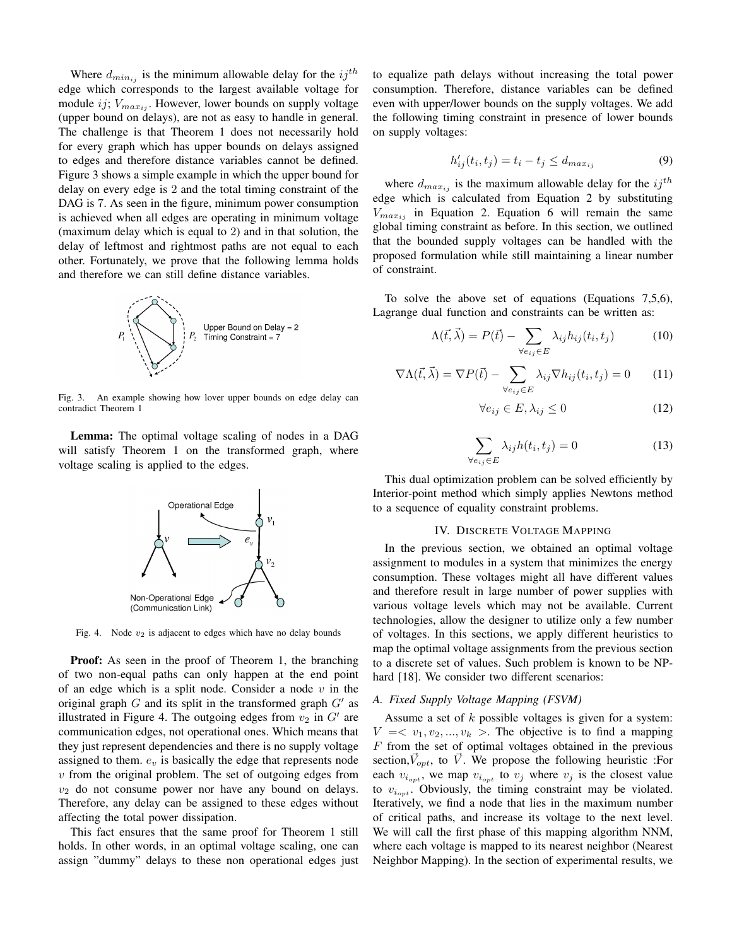Where  $d_{min_{ij}}$  is the minimum allowable delay for the  $ij^{th}$ edge which corresponds to the largest available voltage for module ij;  $V_{max_{ij}}$ . However, lower bounds on supply voltage (upper bound on delays), are not as easy to handle in general. The challenge is that Theorem 1 does not necessarily hold for every graph which has upper bounds on delays assigned to edges and therefore distance variables cannot be defined. Figure 3 shows a simple example in which the upper bound for delay on every edge is 2 and the total timing constraint of the DAG is 7. As seen in the figure, minimum power consumption is achieved when all edges are operating in minimum voltage (maximum delay which is equal to 2) and in that solution, the delay of leftmost and rightmost paths are not equal to each other. Fortunately, we prove that the following lemma holds and therefore we can still define distance variables.



Fig. 3. An example showing how lover upper bounds on edge delay can contradict Theorem 1

Lemma: The optimal voltage scaling of nodes in a DAG will satisfy Theorem 1 on the transformed graph, where voltage scaling is applied to the edges.



Fig. 4. Node  $v_2$  is adjacent to edges which have no delay bounds

Proof: As seen in the proof of Theorem 1, the branching of two non-equal paths can only happen at the end point of an edge which is a split node. Consider a node  $v$  in the original graph  $G$  and its split in the transformed graph  $G'$  as illustrated in Figure 4. The outgoing edges from  $v_2$  in  $G'$  are communication edges, not operational ones. Which means that they just represent dependencies and there is no supply voltage assigned to them.  $e_v$  is basically the edge that represents node  $v$  from the original problem. The set of outgoing edges from  $v_2$  do not consume power nor have any bound on delays. Therefore, any delay can be assigned to these edges without affecting the total power dissipation.

This fact ensures that the same proof for Theorem 1 still holds. In other words, in an optimal voltage scaling, one can assign "dummy" delays to these non operational edges just to equalize path delays without increasing the total power consumption. Therefore, distance variables can be defined even with upper/lower bounds on the supply voltages. We add the following timing constraint in presence of lower bounds on supply voltages:

$$
h'_{ij}(t_i, t_j) = t_i - t_j \le d_{max_{ij}} \tag{9}
$$

where  $d_{max_{ij}}$  is the maximum allowable delay for the  $ij^{th}$ edge which is calculated from Equation 2 by substituting  $V_{max_{ij}}$  in Equation 2. Equation 6 will remain the same global timing constraint as before. In this section, we outlined that the bounded supply voltages can be handled with the proposed formulation while still maintaining a linear number of constraint.

To solve the above set of equations (Equations 7,5,6), Lagrange dual function and constraints can be written as:

$$
\Lambda(\vec{t}, \vec{\lambda}) = P(\vec{t}) - \sum_{\forall e_{ij} \in E} \lambda_{ij} h_{ij}(t_i, t_j)
$$
(10)

$$
\nabla \Lambda(\vec{t}, \vec{\lambda}) = \nabla P(\vec{t}) - \sum_{\forall e_{ij} \in E} \lambda_{ij} \nabla h_{ij}(t_i, t_j) = 0 \tag{11}
$$

$$
\forall e_{ij} \in E, \lambda_{ij} \le 0 \tag{12}
$$

$$
\sum_{\forall e_{ij}\in E} \lambda_{ij} h(t_i, t_j) = 0 \tag{13}
$$

This dual optimization problem can be solved efficiently by Interior-point method which simply applies Newtons method to a sequence of equality constraint problems.

#### IV. DISCRETE VOLTAGE MAPPING

In the previous section, we obtained an optimal voltage assignment to modules in a system that minimizes the energy consumption. These voltages might all have different values and therefore result in large number of power supplies with various voltage levels which may not be available. Current technologies, allow the designer to utilize only a few number of voltages. In this sections, we apply different heuristics to map the optimal voltage assignments from the previous section to a discrete set of values. Such problem is known to be NPhard [18]. We consider two different scenarios:

#### *A. Fixed Supply Voltage Mapping (FSVM)*

Assume a set of k possible voltages is given for a system:  $V = \langle v_1, v_2, ..., v_k \rangle$ . The objective is to find a mapping  $F$  from the set of optimal voltages obtained in the previous section,  $\vec{V}_{opt}$ , to  $\vec{V}$ . We propose the following heuristic :For each  $v_{i_{opt}}$ , we map  $v_{i_{opt}}$  to  $v_j$  where  $v_j$  is the closest value to  $v_{i_{\text{out}}}$ . Obviously, the timing constraint may be violated. Iteratively, we find a node that lies in the maximum number of critical paths, and increase its voltage to the next level. We will call the first phase of this mapping algorithm NNM, where each voltage is mapped to its nearest neighbor (Nearest Neighbor Mapping). In the section of experimental results, we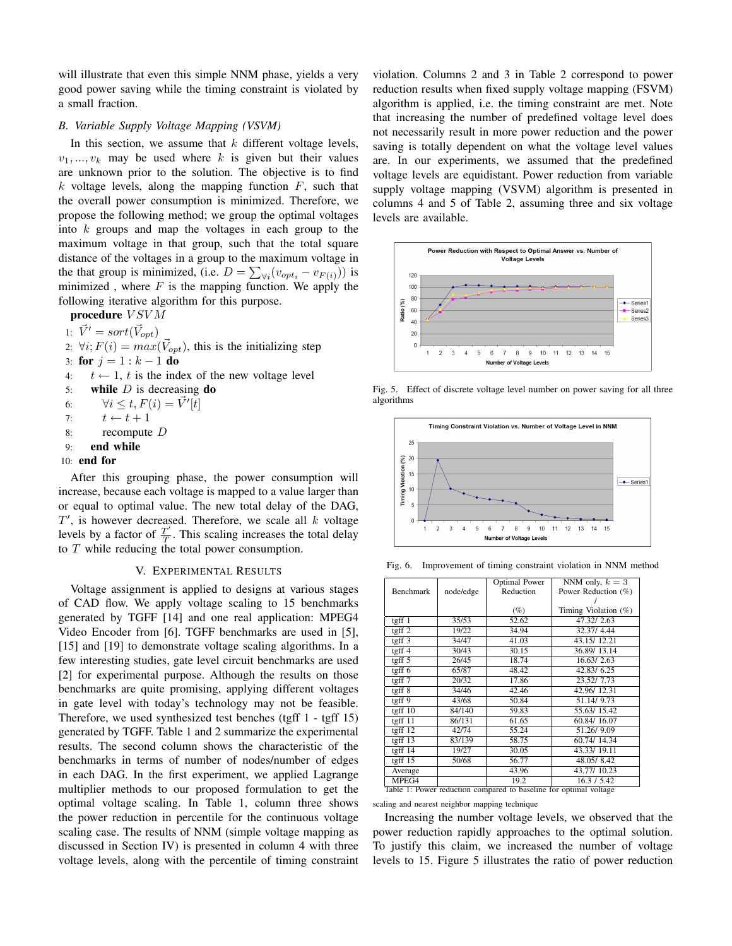will illustrate that even this simple NNM phase, yields a very good power saving while the timing constraint is violated by a small fraction.

## *B. Variable Supply Voltage Mapping (VSVM)*

In this section, we assume that  $k$  different voltage levels,  $v_1, ..., v_k$  may be used where k is given but their values are unknown prior to the solution. The objective is to find  $k$  voltage levels, along the mapping function  $F$ , such that the overall power consumption is minimized. Therefore, we propose the following method; we group the optimal voltages into k groups and map the voltages in each group to the maximum voltage in that group, such that the total square distance of the voltages in a group to the maximum voltage in the that group is minimized, (i.e.  $D = \sum_{\forall i} (v_{opt_i} - v_{F(i)})$ ) is minimized, where  $F$  is the mapping function. We apply the following iterative algorithm for this purpose.

procedure  $V S V M$ 

1:  $\vec{V}' = sort(\vec{V}_{opt})$ 

2:  $\forall i; F(i) = max(\vec{V}_{opt})$ , this is the initializing step

- 3: for  $j = 1 : k 1$  do
- 4:  $t \leftarrow 1$ , t is the index of the new voltage level

5: while  $D$  is decreasing do

- 6:  $\forall i \leq t, F(i) = \vec{V}'[t]$
- 7:  $t \leftarrow t + 1$
- 8: recompute D
- 9: end while
- 10: end for

After this grouping phase, the power consumption will increase, because each voltage is mapped to a value larger than or equal to optimal value. The new total delay of the DAG,  $T'$ , is however decreased. Therefore, we scale all  $k$  voltage levels by a factor of  $\frac{T'}{T}$  $\frac{T}{T}$ . This scaling increases the total delay to T while reducing the total power consumption.

## V. EXPERIMENTAL RESULTS

Voltage assignment is applied to designs at various stages of CAD flow. We apply voltage scaling to 15 benchmarks generated by TGFF [14] and one real application: MPEG4 Video Encoder from [6]. TGFF benchmarks are used in [5], [15] and [19] to demonstrate voltage scaling algorithms. In a few interesting studies, gate level circuit benchmarks are used [2] for experimental purpose. Although the results on those benchmarks are quite promising, applying different voltages in gate level with today's technology may not be feasible. Therefore, we used synthesized test benches (tgff 1 - tgff 15) generated by TGFF. Table 1 and 2 summarize the experimental results. The second column shows the characteristic of the benchmarks in terms of number of nodes/number of edges in each DAG. In the first experiment, we applied Lagrange multiplier methods to our proposed formulation to get the optimal voltage scaling. In Table 1, column three shows the power reduction in percentile for the continuous voltage scaling case. The results of NNM (simple voltage mapping as discussed in Section IV) is presented in column 4 with three voltage levels, along with the percentile of timing constraint violation. Columns 2 and 3 in Table 2 correspond to power reduction results when fixed supply voltage mapping (FSVM) algorithm is applied, i.e. the timing constraint are met. Note that increasing the number of predefined voltage level does not necessarily result in more power reduction and the power saving is totally dependent on what the voltage level values are. In our experiments, we assumed that the predefined voltage levels are equidistant. Power reduction from variable supply voltage mapping (VSVM) algorithm is presented in columns 4 and 5 of Table 2, assuming three and six voltage levels are available.



Fig. 5. Effect of discrete voltage level number on power saving for all three algorithms



Fig. 6. Improvement of timing constraint violation in NNM method

|                                                                   |           | <b>Optimal Power</b> | NNM only, $k = 3$    |  |  |  |
|-------------------------------------------------------------------|-----------|----------------------|----------------------|--|--|--|
| <b>Benchmark</b>                                                  | node/edge | Reduction            | Power Reduction (%)  |  |  |  |
|                                                                   |           |                      |                      |  |  |  |
|                                                                   |           | $(\%)$               | Timing Violation (%) |  |  |  |
| $t$ gff $1$                                                       | 35/53     | 52.62                | 47.32/2.63           |  |  |  |
| tgff $2$                                                          | 19/22     | 34.94                | 32.37/4.44           |  |  |  |
| tgff $3$                                                          | 34/47     | 41.03                | 43.15/12.21          |  |  |  |
| tgff $4$                                                          | 30/43     | 30.15                | 36.89/13.14          |  |  |  |
| tgff $5$                                                          | 26/45     | 18.74                | 16.63/2.63           |  |  |  |
| tgff $6$                                                          | 65/87     | 48.42                | 42.83/6.25           |  |  |  |
| tgff $7$                                                          | 20/32     | 17.86                | 23.52/ 7.73          |  |  |  |
| $t$ gff $8$                                                       | 34/46     | 42.46                | 42.96/12.31          |  |  |  |
| tgff9                                                             | 43/68     | 50.84                | 51.14/ 9.73          |  |  |  |
| tgff $10$                                                         | 84/140    | 59.83                | 55.63/15.42          |  |  |  |
| tgff $11$                                                         | 86/131    | 61.65                | 60.84/16.07          |  |  |  |
| tgff $12$                                                         | 42/74     | 55.24                | 51.26/9.09           |  |  |  |
| tgff $13$                                                         | 83/139    | 58.75                | 60.74/14.34          |  |  |  |
| tgff $14$                                                         | 19/27     | 30.05                | 43.33/19.11          |  |  |  |
| tgff $15$                                                         | 50/68     | 56.77                | 48.05/8.42           |  |  |  |
| Average                                                           |           | 43.96                | 43.77/10.23          |  |  |  |
| MPEG4                                                             |           | 19.2                 | 16.3 / 5.42          |  |  |  |
| Table 1: Power reduction compared to baseline for optimal voltage |           |                      |                      |  |  |  |

scaling and nearest neighbor mapping technique

Increasing the number voltage levels, we observed that the power reduction rapidly approaches to the optimal solution. To justify this claim, we increased the number of voltage levels to 15. Figure 5 illustrates the ratio of power reduction